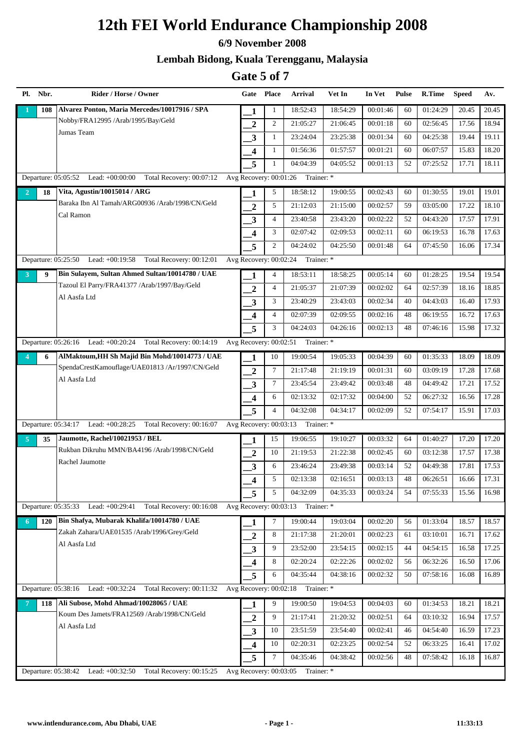#### **6/9 November 2008**

### **Lembah Bidong, Kuala Terengganu, Malaysia**

| Pl. Nbr.              | Rider / Horse / Owner                                           |                         | Gate Place     | Arrival                           | Vet In   | In Vet   | <b>Pulse</b> | R.Time   | <b>Speed</b> | Av.   |
|-----------------------|-----------------------------------------------------------------|-------------------------|----------------|-----------------------------------|----------|----------|--------------|----------|--------------|-------|
| 108                   | Alvarez Ponton, Maria Mercedes/10017916 / SPA                   | 1                       | 1              | 18:52:43                          | 18:54:29 | 00:01:46 | 60           | 01:24:29 | 20.45        | 20.45 |
|                       | Nobby/FRA12995 /Arab/1995/Bay/Geld                              | $\boldsymbol{2}$        | 2              | 21:05:27                          | 21:06:45 | 00:01:18 | 60           | 02:56:45 | 17.56        | 18.94 |
|                       | Jumas Team                                                      | $\mathbf{3}$            | $\mathbf{1}$   | 23:24:04                          | 23:25:38 | 00:01:34 | 60           | 04:25:38 | 19.44        | 19.11 |
|                       |                                                                 | $\overline{\mathbf{4}}$ | 1              | 01:56:36                          | 01:57:57 | 00:01:21 | 60           | 06:07:57 | 15.83        | 18.20 |
|                       |                                                                 | 5                       | $\mathbf{1}$   | 04:04:39                          | 04:05:52 | 00:01:13 | 52           | 07:25:52 | 17.71        | 18.11 |
|                       | Departure: 05:05:52 Lead: +00:00:00 Total Recovery: 00:07:12    | Avg Recovery: 00:01:26  |                | Trainer: *                        |          |          |              |          |              |       |
| $\overline{2}$<br>18  | Vita, Agustin/10015014 / ARG                                    | 1                       | 5              | 18:58:12                          | 19:00:55 | 00:02:43 | 60           | 01:30:55 | 19.01        | 19.01 |
|                       | Baraka Ibn Al Tamah/ARG00936 /Arab/1998/CN/Geld                 | $\overline{2}$          | 5              | 21:12:03                          | 21:15:00 | 00:02:57 | 59           | 03:05:00 | 17.22        | 18.10 |
|                       | Cal Ramon                                                       | 3                       | $\overline{4}$ | 23:40:58                          | 23:43:20 | 00:02:22 | 52           | 04:43:20 | 17.57        | 17.91 |
|                       |                                                                 | $\overline{\mathbf{4}}$ | 3              | 02:07:42                          | 02:09:53 | 00:02:11 | 60           | 06:19:53 | 16.78        | 17.63 |
|                       |                                                                 | 5                       | $\overline{c}$ | 04:24:02                          | 04:25:50 | 00:01:48 | 64           | 07:45:50 | 16.06        | 17.34 |
|                       | Departure: 05:25:50 Lead: +00:19:58<br>Total Recovery: 00:12:01 | Avg Recovery: 00:02:24  |                | Trainer: *                        |          |          |              |          |              |       |
| 9<br>3                | Bin Sulayem, Sultan Ahmed Sultan/10014780 / UAE                 | 1                       | $\overline{4}$ | 18:53:11                          | 18:58:25 | 00:05:14 | 60           | 01:28:25 | 19.54        | 19.54 |
|                       | Tazoul El Parry/FRA41377 /Arab/1997/Bay/Geld                    | $\overline{2}$          | $\overline{4}$ | 21:05:37                          | 21:07:39 | 00:02:02 | 64           | 02:57:39 | 18.16        | 18.85 |
|                       | Al Aasfa Ltd                                                    | $\mathbf{3}$            | 3              | 23:40:29                          | 23:43:03 | 00:02:34 | 40           | 04:43:03 | 16.40        | 17.93 |
|                       |                                                                 | $\overline{\mathbf{4}}$ | $\overline{4}$ | 02:07:39                          | 02:09:55 | 00:02:16 | 48           | 06:19:55 | 16.72        | 17.63 |
|                       |                                                                 | 5                       | 3              | 04:24:03                          | 04:26:16 | 00:02:13 | 48           | 07:46:16 | 15.98        | 17.32 |
|                       | Departure: 05:26:16 Lead: +00:20:24 Total Recovery: 00:14:19    | Avg Recovery: 00:02:51  |                | Trainer: *                        |          |          |              |          |              |       |
| 6                     | AlMaktoum, HH Sh Majid Bin Mohd/10014773 / UAE                  | 1                       | 10             | 19:00:54                          | 19:05:33 | 00:04:39 | 60           | 01:35:33 | 18.09        | 18.09 |
|                       | SpendaCrestKamouflage/UAE01813 /Ar/1997/CN/Geld                 | $\boldsymbol{2}$        | $\tau$         | 21:17:48                          | 21:19:19 | 00:01:31 | 60           | 03:09:19 | 17.28        | 17.68 |
|                       | Al Aasfa Ltd                                                    | 3                       | $\tau$         | 23:45:54                          | 23:49:42 | 00:03:48 | 48           | 04:49:42 | 17.21        | 17.52 |
|                       |                                                                 | $\boldsymbol{4}$        | 6              | 02:13:32                          | 02:17:32 | 00:04:00 | 52           | 06:27:32 | 16.56        | 17.28 |
|                       |                                                                 | 5                       | $\overline{4}$ | 04:32:08                          | 04:34:17 | 00:02:09 | 52           | 07:54:17 | 15.91        | 17.03 |
|                       | Departure: 05:34:17 Lead: +00:28:25 Total Recovery: 00:16:07    |                         |                | Avg Recovery: 00:03:13 Trainer: * |          |          |              |          |              |       |
| 35<br>$\overline{5}$  | Jaumotte, Rachel/10021953 / BEL                                 | 1                       | 15             | 19:06:55                          | 19:10:27 | 00:03:32 | 64           | 01:40:27 | 17.20        | 17.20 |
|                       | Rukban Dikruhu MMN/BA4196 /Arab/1998/CN/Geld                    | $\overline{2}$          | 10             | 21:19:53                          | 21:22:38 | 00:02:45 | 60           | 03:12:38 | 17.57        | 17.38 |
|                       | Rachel Jaumotte                                                 | 3                       | 6              | 23:46:24                          | 23:49:38 | 00:03:14 | 52           | 04:49:38 | 17.81        | 17.53 |
|                       |                                                                 | $\overline{\mathbf{4}}$ | 5              | 02:13:38                          | 02:16:51 | 00:03:13 | 48           | 06:26:51 | 16.66        | 17.31 |
|                       |                                                                 | 5                       | 5              | 04:32:09                          | 04:35:33 | 00:03:24 | 54           | 07:55:33 | 15.56        | 16.98 |
| Departure: 05:35:33   | Lead: +00:29:41<br>Total Recovery: 00:16:08                     |                         |                | Avg Recovery: 00:03:13 Trainer: * |          |          |              |          |              |       |
| 120<br>6              | Bin Shafya, Mubarak Khalifa/10014780 / UAE                      | 1                       | 7              | 19:00:44                          | 19:03:04 | 00:02:20 | 56           | 01:33:04 | 18.57        | 18.57 |
|                       | Zakah Zahara/UAE01535 /Arab/1996/Grey/Geld                      | $\boldsymbol{2}$        | 8              | 21:17:38                          | 21:20:01 | 00:02:23 | 61           | 03:10:01 | 16.71        | 17.62 |
|                       | Al Aasfa Ltd                                                    | 3                       | 9              | 23:52:00                          | 23:54:15 | 00:02:15 | 44           | 04:54:15 | 16.58        | 17.25 |
|                       |                                                                 | 4                       | 8              | 02:20:24                          | 02:22:26 | 00:02:02 | 56           | 06:32:26 | 16.50        | 17.06 |
|                       |                                                                 | 5                       | 6              | 04:35:44                          | 04:38:16 | 00:02:32 | 50           | 07:58:16 | 16.08        | 16.89 |
|                       | Departure: 05:38:16 Lead: +00:32:24<br>Total Recovery: 00:11:32 | Avg Recovery: 00:02:18  |                | Trainer: *                        |          |          |              |          |              |       |
| 118<br>$\overline{7}$ | Ali Subose, Mohd Ahmad/10028065 / UAE                           | 1                       | 9              | 19:00:50                          | 19:04:53 | 00:04:03 | 60           | 01:34:53 | 18.21        | 18.21 |
|                       | Koum Des Jamets/FRA12569 /Arab/1998/CN/Geld                     | $\overline{2}$          | 9              | 21:17:41                          | 21:20:32 | 00:02:51 | 64           | 03:10:32 | 16.94        | 17.57 |
|                       | Al Aasfa Ltd                                                    | $\mathbf{3}$            | 10             | 23:51:59                          | 23:54:40 | 00:02:41 | 46           | 04:54:40 | 16.59        | 17.23 |
|                       |                                                                 | $\overline{\mathbf{4}}$ | 10             | 02:20:31                          | 02:23:25 | 00:02:54 | 52           | 06:33:25 | 16.41        | 17.02 |
|                       |                                                                 | 5                       | $\tau$         | 04:35:46                          | 04:38:42 | 00:02:56 | 48           | 07:58:42 | 16.18        | 16.87 |
| Departure: 05:38:42   | Lead: $+00:32:50$<br>Total Recovery: 00:15:25                   |                         |                | Avg Recovery: 00:03:05 Trainer: * |          |          |              |          |              |       |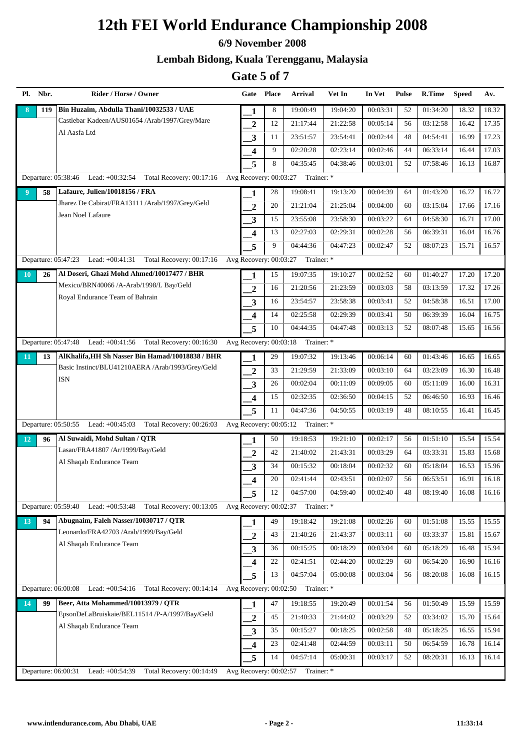#### **6/9 November 2008**

### **Lembah Bidong, Kuala Terengganu, Malaysia**

| Pl. Nbr.             | Rider / Horse / Owner                                        | Gate Place              |    | Arrival                           | Vet In   | In Vet   | <b>Pulse</b> | R.Time   | <b>Speed</b> | Av.   |
|----------------------|--------------------------------------------------------------|-------------------------|----|-----------------------------------|----------|----------|--------------|----------|--------------|-------|
| 119<br>8             | Bin Huzaim, Abdulla Thani/10032533 / UAE                     | 1                       | 8  | 19:00:49                          | 19:04:20 | 00:03:31 | 52           | 01:34:20 | 18.32        | 18.32 |
|                      | Castlebar Kadeen/AUS01654 /Arab/1997/Grey/Mare               | $\boldsymbol{2}$        | 12 | 21:17:44                          | 21:22:58 | 00:05:14 | 56           | 03:12:58 | 16.42        | 17.35 |
|                      | Al Aasfa Ltd                                                 | $\overline{\mathbf{3}}$ | 11 | 23:51:57                          | 23:54:41 | 00:02:44 | 48           | 04:54:41 | 16.99        | 17.23 |
|                      |                                                              | $\overline{\mathbf{4}}$ | 9  | 02:20:28                          | 02:23:14 | 00:02:46 | 44           | 06:33:14 | 16.44        | 17.03 |
|                      |                                                              | 5                       | 8  | 04:35:45                          | 04:38:46 | 00:03:01 | 52           | 07:58:46 | 16.13        | 16.87 |
|                      | Departure: 05:38:46 Lead: +00:32:54 Total Recovery: 00:17:16 | Avg Recovery: 00:03:27  |    | Trainer: *                        |          |          |              |          |              |       |
| 9 <sup>°</sup><br>58 | Lafaure, Julien/10018156 / FRA                               | 1                       | 28 | 19:08:41                          | 19:13:20 | 00:04:39 | 64           | 01:43:20 | 16.72        | 16.72 |
|                      | Jharez De Cabirat/FRA13111 /Arab/1997/Grey/Geld              | $\overline{2}$          | 20 | 21:21:04                          | 21:25:04 | 00:04:00 | 60           | 03:15:04 | 17.66        | 17.16 |
|                      | Jean Noel Lafaure                                            | 3                       | 15 | 23:55:08                          | 23:58:30 | 00:03:22 | 64           | 04:58:30 | 16.71        | 17.00 |
|                      |                                                              | $\overline{\mathbf{4}}$ | 13 | 02:27:03                          | 02:29:31 | 00:02:28 | 56           | 06:39:31 | 16.04        | 16.76 |
|                      |                                                              | 5                       | 9  | 04:44:36                          | 04:47:23 | 00:02:47 | 52           | 08:07:23 | 15.71        | 16.57 |
| Departure: 05:47:23  | Lead: $+00:41:31$<br>Total Recovery: 00:17:16                | Avg Recovery: 00:03:27  |    | Trainer: *                        |          |          |              |          |              |       |
| 26<br>10             | Al Doseri, Ghazi Mohd Ahmed/10017477 / BHR                   | 1                       | 15 | 19:07:35                          | 19:10:27 | 00:02:52 | 60           | 01:40:27 | 17.20        | 17.20 |
|                      | Mexico/BRN40066 /A-Arab/1998/L Bay/Geld                      | $\overline{2}$          | 16 | 21:20:56                          | 21:23:59 | 00:03:03 | 58           | 03:13:59 | 17.32        | 17.26 |
|                      | Royal Endurance Team of Bahrain                              | $\mathbf{3}$            | 16 | 23:54:57                          | 23:58:38 | 00:03:41 | 52           | 04:58:38 | 16.51        | 17.00 |
|                      |                                                              | $\overline{\mathbf{4}}$ | 14 | 02:25:58                          | 02:29:39 | 00:03:41 | 50           | 06:39:39 | 16.04        | 16.75 |
|                      |                                                              | 5                       | 10 | 04:44:35                          | 04:47:48 | 00:03:13 | 52           | 08:07:48 | 15.65        | 16.56 |
| Departure: 05:47:48  | Lead: $+00:41:56$ Total Recovery: 00:16:30                   | Avg Recovery: 00:03:18  |    | Trainer: *                        |          |          |              |          |              |       |
| 13<br>11             | AlKhalifa, HH Sh Nasser Bin Hamad/10018838 / BHR             | 1                       | 29 | 19:07:32                          | 19:13:46 | 00:06:14 | 60           | 01:43:46 | 16.65        | 16.65 |
|                      | Basic Instinct/BLU41210AERA /Arab/1993/Grey/Geld             | $\boldsymbol{2}$        | 33 | 21:29:59                          | 21:33:09 | 00:03:10 | 64           | 03:23:09 | 16.30        | 16.48 |
|                      | ISN                                                          | 3                       | 26 | 00:02:04                          | 00:11:09 | 00:09:05 | 60           | 05:11:09 | 16.00        | 16.31 |
|                      |                                                              | $\boldsymbol{4}$        | 15 | 02:32:35                          | 02:36:50 | 00:04:15 | 52           | 06:46:50 | 16.93        | 16.46 |
|                      |                                                              | 5                       | 11 | 04:47:36                          | 04:50:55 | 00:03:19 | 48           | 08:10:55 | 16.41        | 16.45 |
|                      | Departure: 05:50:55 Lead: +00:45:03 Total Recovery: 00:26:03 | Avg Recovery: 00:05:12  |    | Trainer: *                        |          |          |              |          |              |       |
| 12<br>96             | Al Suwaidi, Mohd Sultan / QTR                                | 1                       | 50 | 19:18:53                          | 19:21:10 | 00:02:17 | 56           | 01:51:10 | 15.54        | 15.54 |
|                      | Lasan/FRA41807 /Ar/1999/Bay/Geld                             | $\overline{2}$          | 42 | 21:40:02                          | 21:43:31 | 00:03:29 | 64           | 03:33:31 | 15.83        | 15.68 |
|                      | Al Shaqab Endurance Team                                     | 3                       | 34 | 00:15:32                          | 00:18:04 | 00:02:32 | 60           | 05:18:04 | 16.53        | 15.96 |
|                      |                                                              | $\overline{\mathbf{4}}$ | 20 | 02:41:44                          | 02:43:51 | 00:02:07 | 56           | 06:53:51 | 16.91        | 16.18 |
|                      |                                                              | 5                       | 12 | 04:57:00                          | 04:59:40 | 00:02:40 | 48           | 08:19:40 | 16.08        | 16.16 |
| Departure: 05:59:40  | Lead: +00:53:48<br>Total Recovery: 00:13:05                  | Avg Recovery: 00:02:37  |    | Trainer: *                        |          |          |              |          |              |       |
| 13<br>94             | Abugnaim, Faleh Nasser/10030717 / QTR                        | 1                       | 49 | 19:18:42                          | 19:21:08 | 00:02:26 | 60           | 01:51:08 | 15.55        | 15.55 |
|                      | Leonardo/FRA42703 /Arab/1999/Bay/Geld                        | $\boldsymbol{2}$        | 43 | 21:40:26                          | 21:43:37 | 00:03:11 | 60           | 03:33:37 | 15.81        | 15.67 |
|                      | Al Shaqab Endurance Team                                     | $\mathbf{3}$            | 36 | 00:15:25                          | 00:18:29 | 00:03:04 | 60           | 05:18:29 | 16.48        | 15.94 |
|                      |                                                              | 4                       | 22 | 02:41:51                          | 02:44:20 | 00:02:29 | 60           | 06:54:20 | 16.90        | 16.16 |
|                      |                                                              | 5                       | 13 | 04:57:04                          | 05:00:08 | 00:03:04 | 56           | 08:20:08 | 16.08        | 16.15 |
| Departure: 06:00:08  | Lead: $+00:54:16$<br>Total Recovery: 00:14:14                | Avg Recovery: 00:02:50  |    | Trainer: *                        |          |          |              |          |              |       |
| 99<br>14             | Beer, Atta Mohammed/10013979 / QTR                           | 1                       | 47 | 19:18:55                          | 19:20:49 | 00:01:54 | 56           | 01:50:49 | 15.59        | 15.59 |
|                      | EpsonDeLaBruiskaie/BEL11514 /P-A/1997/Bay/Geld               | $\overline{2}$          | 45 | 21:40:33                          | 21:44:02 | 00:03:29 | 52           | 03:34:02 | 15.70        | 15.64 |
|                      | Al Shaqab Endurance Team                                     | $\mathbf{3}$            | 35 | 00:15:27                          | 00:18:25 | 00:02:58 | 48           | 05:18:25 | 16.55        | 15.94 |
|                      |                                                              | $\overline{\mathbf{4}}$ | 23 | 02:41:48                          | 02:44:59 | 00:03:11 | 50           | 06:54:59 | 16.78        | 16.14 |
|                      |                                                              | 5                       | 14 | 04:57:14                          | 05:00:31 | 00:03:17 | 52           | 08:20:31 | 16.13        | 16.14 |
| Departure: 06:00:31  | Lead: +00:54:39<br>Total Recovery: 00:14:49                  |                         |    | Avg Recovery: 00:02:57 Trainer: * |          |          |              |          |              |       |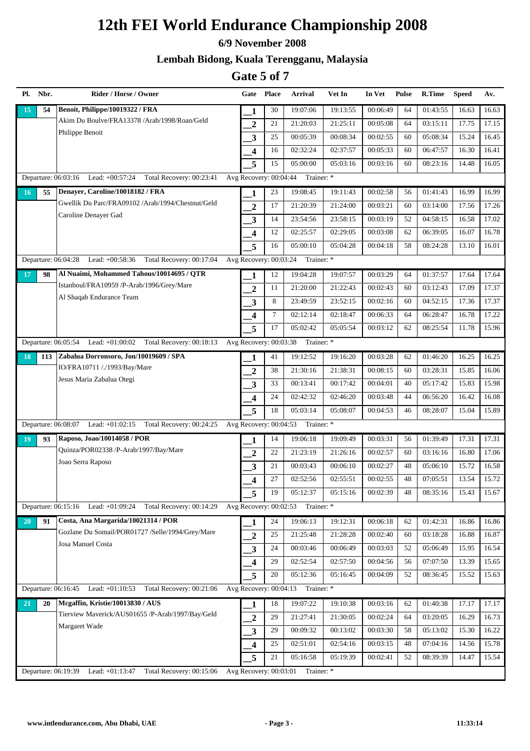#### **6/9 November 2008**

### **Lembah Bidong, Kuala Terengganu, Malaysia**

| Pl. Nbr.            | Rider / Horse / Owner                                           | Gate Place                          |        | <b>Arrival</b>                    | Vet In   | In Vet   | <b>Pulse</b> | R.Time   | <b>Speed</b> | Av.   |
|---------------------|-----------------------------------------------------------------|-------------------------------------|--------|-----------------------------------|----------|----------|--------------|----------|--------------|-------|
| 15<br>54            | Benoit, Philippe/10019322 / FRA                                 | 1                                   | 30     | 19:07:06                          | 19:13:55 | 00:06:49 | 64           | 01:43:55 | 16.63        | 16.63 |
|                     | Akim Du Boulve/FRA13378 /Arab/1998/Roan/Geld                    | $\overline{2}$                      | 21     | 21:20:03                          | 21:25:11 | 00:05:08 | 64           | 03:15:11 | 17.75        | 17.15 |
|                     | Philippe Benoit                                                 | 3                                   | 25     | 00:05:39                          | 00:08:34 | 00:02:55 | 60           | 05:08:34 | 15.24        | 16.45 |
|                     |                                                                 | 4                                   | 16     | 02:32:24                          | 02:37:57 | 00:05:33 | 60           | 06:47:57 | 16.30        | 16.41 |
|                     |                                                                 | 5                                   | 15     | 05:00:00                          | 05:03:16 | 00:03:16 | 60           | 08:23:16 | 14.48        | 16.05 |
|                     | Departure: 06:03:16 Lead: +00:57:24 Total Recovery: 00:23:41    | Avg Recovery: 00:04:44              |        | Trainer: *                        |          |          |              |          |              |       |
| 55<br>16            | Denayer, Caroline/10018182 / FRA                                | 1                                   | 23     | 19:08:45                          | 19:11:43 | 00:02:58 | 56           | 01:41:43 | 16.99        | 16.99 |
|                     | Gwellik Du Parc/FRA09102 /Arab/1994/Chestnut/Geld               | $\overline{2}$                      | 17     | 21:20:39                          | 21:24:00 | 00:03:21 | 60           | 03:14:00 | 17.56        | 17.26 |
|                     | Caroline Denayer Gad                                            | 3                                   | 14     | 23:54:56                          | 23:58:15 | 00:03:19 | 52           | 04:58:15 | 16.58        | 17.02 |
|                     |                                                                 | $\overline{\mathbf{4}}$             | 12     | 02:25:57                          | 02:29:05 | 00:03:08 | 62           | 06:39:05 | 16.07        | 16.78 |
|                     |                                                                 | 5                                   | 16     | 05:00:10                          | 05:04:28 | 00:04:18 | 58           | 08:24:28 | 13.10        | 16.01 |
| Departure: 06:04:28 | Lead: $+00:58:36$<br>Total Recovery: 00:17:04                   | Avg Recovery: 00:03:24              |        | Trainer: *                        |          |          |              |          |              |       |
| 98<br>17            | Al Nuaimi, Mohammed Tahous/10014695 / QTR                       | 1                                   | 12     | 19:04:28                          | 19:07:57 | 00:03:29 | 64           | 01:37:57 | 17.64        | 17.64 |
|                     | Istanboul/FRA10959 /P-Arab/1996/Grey/Mare                       | $\overline{2}$                      | 11     | 21:20:00                          | 21:22:43 | 00:02:43 | 60           | 03:12:43 | 17.09        | 17.37 |
|                     | Al Shaqab Endurance Team                                        | 3                                   | 8      | 23:49:59                          | 23:52:15 | 00:02:16 | 60           | 04:52:15 | 17.36        | 17.37 |
|                     |                                                                 | $\overline{\mathbf{4}}$             | $\tau$ | 02:12:14                          | 02:18:47 | 00:06:33 | 64           | 06:28:47 | 16.78        | 17.22 |
|                     |                                                                 | 5                                   | 17     | 05:02:42                          | 05:05:54 | 00:03:12 | 62           | 08:25:54 | 11.78        | 15.96 |
|                     | Departure: 06:05:54 Lead: +01:00:02 Total Recovery: 00:18:13    | Avg Recovery: 00:03:38              |        | Trainer: *                        |          |          |              |          |              |       |
| 113<br>18           | Zabalua Dorronsoro, Jon/10019609 / SPA                          | 1                                   | 41     | 19:12:52                          | 19:16:20 | 00:03:28 | 62           | 01:46:20 | 16.25        | 16.25 |
|                     | IO/FRA10711 /./1993/Bay/Mare                                    | $\boldsymbol{2}$                    | 38     | 21:30:16                          | 21:38:31 | 00:08:15 | 60           | 03:28:31 | 15.85        | 16.06 |
|                     | Jesus Maria Zabalua Otegi                                       | 3                                   | 33     | 00:13:41                          | 00:17:42 | 00:04:01 | 40           | 05:17:42 | 15.83        | 15.98 |
|                     |                                                                 | $\overline{\mathbf{4}}$             | 24     | 02:42:32                          | 02:46:20 | 00:03:48 | 44           | 06:56:20 | 16.42        | 16.08 |
|                     |                                                                 | 5                                   | 18     | 05:03:14                          | 05:08:07 | 00:04:53 | 46           | 08:28:07 | 15.04        | 15.89 |
|                     | Departure: 06:08:07 Lead: +01:02:15 Total Recovery: 00:24:25    | Avg Recovery: $00:\overline{04:53}$ |        | Trainer: *                        |          |          |              |          |              |       |
| 93<br>19            | Raposo, Joao/10014058 / POR                                     | 1                                   | 14     | 19:06:18                          | 19:09:49 | 00:03:31 | 56           | 01:39:49 | 17.31        | 17.31 |
|                     | Quinza/POR02338 /P-Arab/1997/Bay/Mare                           | $\overline{2}$                      | 22     | 21:23:19                          | 21:26:16 | 00:02:57 | 60           | 03:16:16 | 16.80        | 17.06 |
|                     | Joao Serra Raposo                                               | 3                                   | 21     | 00:03:43                          | 00:06:10 | 00:02:27 | 48           | 05:06:10 | 15.72        | 16.58 |
|                     |                                                                 | $\overline{\mathbf{4}}$             | 27     | 02:52:56                          | 02:55:51 | 00:02:55 | 48           | 07:05:51 | 13.54        | 15.72 |
|                     |                                                                 | 5                                   | 19     | 05:12:37                          | 05:15:16 | 00:02:39 | 48           | 08:35:16 | 15.43        | 15.67 |
|                     | Departure: 06:15:16 Lead: +01:09:24<br>Total Recovery: 00:14:29 | Avg Recovery: 00:02:53              |        | Trainer: *                        |          |          |              |          |              |       |
| 20<br>91            | Costa, Ana Margarida/10021314 / POR                             | 1                                   | 24     | 19:06:13                          | 19:12:31 | 00:06:18 | 62           | 01:42:31 | 16.86        | 16.86 |
|                     | Gozlane Du Somail/POR01727 /Selle/1994/Grey/Mare                | $\boldsymbol{2}$                    | 25     | 21:25:48                          | 21:28:28 | 00:02:40 | 60           | 03:18:28 | 16.88        | 16.87 |
|                     | Josa Manuel Costa                                               | 3                                   | 24     | 00:03:46                          | 00:06:49 | 00:03:03 | 52           | 05:06:49 | 15.95        | 16.54 |
|                     |                                                                 | 4                                   | 29     | 02:52:54                          | 02:57:50 | 00:04:56 | 56           | 07:07:50 | 13.39        | 15.65 |
|                     |                                                                 | 5                                   | 20     | 05:12:36                          | 05:16:45 | 00:04:09 | 52           | 08:36:45 | 15.52        | 15.63 |
| Departure: 06:16:45 | Lead: $+01:10:53$<br>Total Recovery: 00:21:06                   | Avg Recovery: 00:04:13              |        | Trainer: *                        |          |          |              |          |              |       |
| 20<br>21            | Mcgaffin, Kristie/10013830 / AUS                                | 1                                   | 18     | 19:07:22                          | 19:10:38 | 00:03:16 | 62           | 01:40:38 | 17.17        | 17.17 |
|                     | Tierview Maverick/AUS01655 /P-Arab/1997/Bay/Geld                | $\overline{2}$                      | 29     | 21:27:41                          | 21:30:05 | 00:02:24 | 64           | 03:20:05 | 16.29        | 16.73 |
|                     | Margaret Wade                                                   | 3                                   | 29     | 00:09:32                          | 00:13:02 | 00:03:30 | 58           | 05:13:02 | 15.30        | 16.22 |
|                     |                                                                 | 4                                   | 25     | 02:51:01                          | 02:54:16 | 00:03:15 | 48           | 07:04:16 | 14.56        | 15.78 |
|                     |                                                                 | 5                                   | 21     | 05:16:58                          | 05:19:39 | 00:02:41 | 52           | 08:39:39 | 14.47        | 15.54 |
| Departure: 06:19:39 | Lead: +01:13:47<br>Total Recovery: 00:15:06                     |                                     |        | Avg Recovery: 00:03:01 Trainer: * |          |          |              |          |              |       |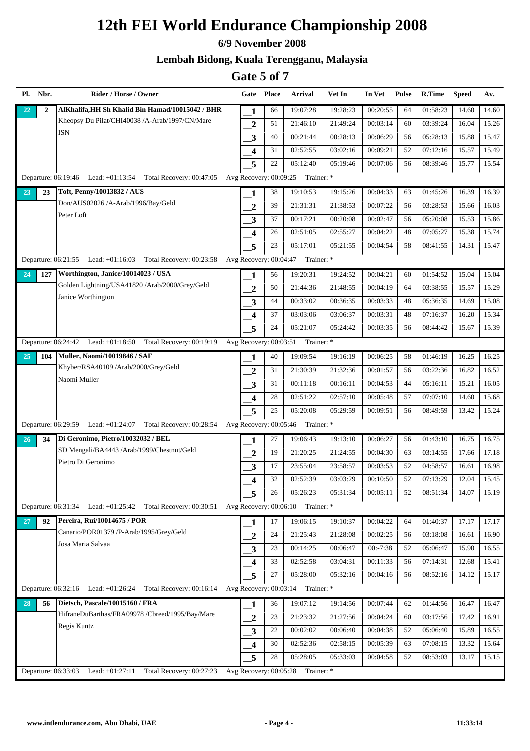#### **6/9 November 2008**

### **Lembah Bidong, Kuala Terengganu, Malaysia**

| Pl. Nbr.        | Rider / Horse / Owner                                                | Gate Place               |    | Arrival                           | Vet In   | In Vet     | <b>Pulse</b> | R.Time   | <b>Speed</b> | Av.   |
|-----------------|----------------------------------------------------------------------|--------------------------|----|-----------------------------------|----------|------------|--------------|----------|--------------|-------|
| $\overline{22}$ | AlKhalifa, HH Sh Khalid Bin Hamad/10015042 / BHR<br>$\overline{2}$   | 1                        | 66 | 19:07:28                          | 19:28:23 | 00:20:55   | 64           | 01:58:23 | 14.60        | 14.60 |
|                 | Kheopsy Du Pilat/CHI40038 /A-Arab/1997/CN/Mare                       | $\boldsymbol{2}$         | 51 | 21:46:10                          | 21:49:24 | 00:03:14   | 60           | 03:39:24 | 16.04        | 15.26 |
|                 | ISN                                                                  | $\mathbf{3}$             | 40 | 00:21:44                          | 00:28:13 | 00:06:29   | 56           | 05:28:13 | 15.88        | 15.47 |
|                 |                                                                      | $\overline{\mathbf{4}}$  | 31 | 02:52:55                          | 03:02:16 | 00:09:21   | 52           | 07:12:16 | 15.57        | 15.49 |
|                 |                                                                      | 5                        | 22 | 05:12:40                          | 05:19:46 | 00:07:06   | 56           | 08:39:46 | 15.77        | 15.54 |
|                 | Departure: 06:19:46 Lead: +01:13:54 Total Recovery: 00:47:05         | Avg Recovery: 00:09:25   |    | Trainer: *                        |          |            |              |          |              |       |
| 23              | Toft, Penny/10013832 / AUS<br>23                                     | 1                        | 38 | 19:10:53                          | 19:15:26 | 00:04:33   | 63           | 01:45:26 | 16.39        | 16.39 |
|                 | Don/AUS02026 /A-Arab/1996/Bay/Geld                                   | $\overline{2}$           | 39 | 21:31:31                          | 21:38:53 | 00:07:22   | 56           | 03:28:53 | 15.66        | 16.03 |
|                 | Peter Loft                                                           | 3                        | 37 | 00:17:21                          | 00:20:08 | 00:02:47   | 56           | 05:20:08 | 15.53        | 15.86 |
|                 |                                                                      | $\overline{\mathbf{4}}$  | 26 | 02:51:05                          | 02:55:27 | 00:04:22   | 48           | 07:05:27 | 15.38        | 15.74 |
|                 |                                                                      | 5                        | 23 | 05:17:01                          | 05:21:55 | 00:04:54   | 58           | 08:41:55 | 14.31        | 15.47 |
|                 | Departure: 06:21:55 Lead: +01:16:03 Total Recovery: 00:23:58         | Avg Recovery: 00:04:47   |    | Trainer: *                        |          |            |              |          |              |       |
| 24<br>127       | Worthington, Janice/10014023 / USA                                   | 1                        | 56 | 19:20:31                          | 19:24:52 | 00:04:21   | 60           | 01:54:52 | 15.04        | 15.04 |
|                 | Golden Lightning/USA41820 /Arab/2000/Grey/Geld                       | $\overline{2}$           | 50 | 21:44:36                          | 21:48:55 | 00:04:19   | 64           | 03:38:55 | 15.57        | 15.29 |
|                 | Janice Worthington                                                   | $\mathbf{3}$             | 44 | 00:33:02                          | 00:36:35 | 00:03:33   | 48           | 05:36:35 | 14.69        | 15.08 |
|                 |                                                                      | $\overline{\mathbf{4}}$  | 37 | 03:03:06                          | 03:06:37 | 00:03:31   | 48           | 07:16:37 | 16.20        | 15.34 |
|                 |                                                                      | 5                        | 24 | 05:21:07                          | 05:24:42 | 00:03:35   | 56           | 08:44:42 | 15.67        | 15.39 |
|                 | Departure: 06:24:42 Lead: +01:18:50 Total Recovery: 00:19:19         | Avg Recovery: 00:03:51   |    | Trainer: *                        |          |            |              |          |              |       |
| 104<br>25       | <b>Muller, Naomi/10019846 / SAF</b>                                  | 1                        | 40 | 19:09:54                          | 19:16:19 | 00:06:25   | 58           | 01:46:19 | 16.25        | 16.25 |
|                 | Khyber/RSA40109 /Arab/2000/Grey/Geld                                 | $\boldsymbol{2}$         | 31 | 21:30:39                          | 21:32:36 | 00:01:57   | 56           | 03:22:36 | 16.82        | 16.52 |
|                 | Naomi Muller                                                         | 3                        | 31 | 00:11:18                          | 00:16:11 | 00:04:53   | 44           | 05:16:11 | 15.21        | 16.05 |
|                 |                                                                      | $\boldsymbol{4}$         | 28 | 02:51:22                          | 02:57:10 | 00:05:48   | 57           | 07:07:10 | 14.60        | 15.68 |
|                 |                                                                      | 5                        | 25 | 05:20:08                          | 05:29:59 | 00:09:51   | 56           | 08:49:59 | 13.42        | 15.24 |
|                 | Departure: 06:29:59 Lead: +01:24:07 Total Recovery: 00:28:54         | Avg Recovery: 00:05:46   |    | Trainer: *                        |          |            |              |          |              |       |
| 26              | Di Geronimo, Pietro/10032032 / BEL<br>34                             | 1                        | 27 | 19:06:43                          | 19:13:10 | 00:06:27   | 56           | 01:43:10 | 16.75        | 16.75 |
|                 | SD Mengali/BA4443 /Arab/1999/Chestnut/Geld                           | $\overline{2}$           | 19 | 21:20:25                          | 21:24:55 | 00:04:30   | 63           | 03:14:55 | 17.66        | 17.18 |
|                 | Pietro Di Geronimo                                                   | 3                        | 17 | 23:55:04                          | 23:58:57 | 00:03:53   | 52           | 04:58:57 | 16.61        | 16.98 |
|                 |                                                                      | $\overline{\mathbf{4}}$  | 32 | 02:52:39                          | 03:03:29 | 00:10:50   | 52           | 07:13:29 | 12.04        | 15.45 |
|                 |                                                                      | 5                        | 26 | 05:26:23                          | 05:31:34 | 00:05:11   | 52           | 08:51:34 | 14.07        | 15.19 |
|                 | Departure: 06:31:34<br>Lead: $+01:25:42$ Total Recovery: $00:30:51$  |                          |    | Avg Recovery: 00:06:10 Trainer: * |          |            |              |          |              |       |
| 27              | Pereira, Rui/10014675 / POR<br>92                                    | 1                        | 17 | 19:06:15                          | 19:10:37 | 00:04:22   | 64           | 01:40:37 | 17.17        | 17.17 |
|                 | Canario/POR01379 /P-Arab/1995/Grey/Geld                              | $\boldsymbol{2}$         | 24 | 21:25:43                          | 21:28:08 | 00:02:25   | 56           | 03:18:08 | 16.61        | 16.90 |
|                 | Josa Maria Salvaa                                                    | $\mathbf{3}$             | 23 | 00:14:25                          | 00:06:47 | $00:-7:38$ | 52           | 05:06:47 | 15.90        | 16.55 |
|                 |                                                                      | 4                        | 33 | 02:52:58                          | 03:04:31 | 00:11:33   | 56           | 07:14:31 | 12.68        | 15.41 |
|                 |                                                                      | 5                        | 27 | 05:28:00                          | 05:32:16 | 00:04:16   | 56           | 08:52:16 | 14.12        | 15.17 |
|                 | Departure: 06:32:16 Lead: +01:26:24 Total Recovery: 00:16:14         | Avg Recovery: $00:03:14$ |    | Trainer: *                        |          |            |              |          |              |       |
| 28              | Dietsch, Pascale/10015160 / FRA<br>56                                | 1                        | 36 | 19:07:12                          | 19:14:56 | 00:07:44   | 62           | 01:44:56 | 16.47        | 16.47 |
|                 | HifraneDuBarthas/FRA09978 /Cbreed/1995/Bay/Mare                      | $\overline{2}$           | 23 | 21:23:32                          | 21:27:56 | 00:04:24   | 60           | 03:17:56 | 17.42        | 16.91 |
|                 | Regis Kuntz                                                          | $\mathbf{3}$             | 22 | 00:02:02                          | 00:06:40 | 00:04:38   | 52           | 05:06:40 | 15.89        | 16.55 |
|                 |                                                                      | $\overline{\mathbf{4}}$  | 30 | 02:52:36                          | 02:58:15 | 00:05:39   | 63           | 07:08:15 | 13.32        | 15.64 |
|                 |                                                                      | 5                        | 28 | 05:28:05                          | 05:33:03 | 00:04:58   | 52           | 08:53:03 | 13.17        | 15.15 |
|                 | Lead: $+01:27:11$<br>Total Recovery: 00:27:23<br>Departure: 06:33:03 |                          |    | Avg Recovery: 00:05:28 Trainer: * |          |            |              |          |              |       |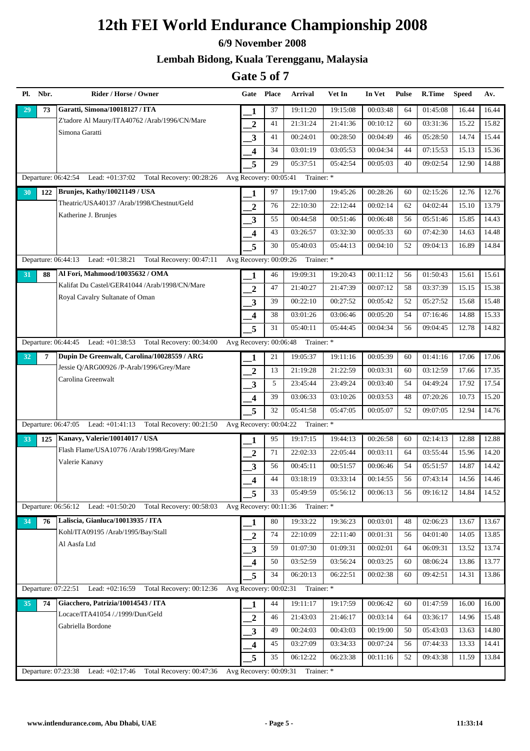#### **6/9 November 2008**

### **Lembah Bidong, Kuala Terengganu, Malaysia**

| Pl. Nbr.            | Rider / Horse / Owner                                           | Gate Place               |    | Arrival                           | Vet In   | In Vet   | <b>Pulse</b> | R.Time   | <b>Speed</b> | Av.   |
|---------------------|-----------------------------------------------------------------|--------------------------|----|-----------------------------------|----------|----------|--------------|----------|--------------|-------|
| 73<br>29            | Garatti, Simona/10018127 / ITA                                  | 1                        | 37 | 19:11:20                          | 19:15:08 | 00:03:48 | 64           | 01:45:08 | 16.44        | 16.44 |
|                     | Z'tadore Al Maury/ITA40762 /Arab/1996/CN/Mare                   | $\boldsymbol{2}$         | 41 | 21:31:24                          | 21:41:36 | 00:10:12 | 60           | 03:31:36 | 15.22        | 15.82 |
|                     | Simona Garatti                                                  | $\overline{\mathbf{3}}$  | 41 | 00:24:01                          | 00:28:50 | 00:04:49 | 46           | 05:28:50 | 14.74        | 15.44 |
|                     |                                                                 | $\overline{\mathbf{4}}$  | 34 | 03:01:19                          | 03:05:53 | 00:04:34 | 44           | 07:15:53 | 15.13        | 15.36 |
|                     |                                                                 | 5                        | 29 | 05:37:51                          | 05:42:54 | 00:05:03 | 40           | 09:02:54 | 12.90        | 14.88 |
| Departure: 06:42:54 | Lead: +01:37:02 Total Recovery: 00:28:26                        | Avg Recovery: 00:05:41   |    | Trainer: *                        |          |          |              |          |              |       |
| 30<br>122           | Brunjes, Kathy/10021149 / USA                                   | 1                        | 97 | 19:17:00                          | 19:45:26 | 00:28:26 | 60           | 02:15:26 | 12.76        | 12.76 |
|                     | Theatric/USA40137 /Arab/1998/Chestnut/Geld                      | $\overline{2}$           | 76 | 22:10:30                          | 22:12:44 | 00:02:14 | 62           | 04:02:44 | 15.10        | 13.79 |
|                     | Katherine J. Brunjes                                            | 3                        | 55 | 00:44:58                          | 00:51:46 | 00:06:48 | 56           | 05:51:46 | 15.85        | 14.43 |
|                     |                                                                 | $\overline{\mathbf{4}}$  | 43 | 03:26:57                          | 03:32:30 | 00:05:33 | 60           | 07:42:30 | 14.63        | 14.48 |
|                     |                                                                 | 5                        | 30 | 05:40:03                          | 05:44:13 | 00:04:10 | 52           | 09:04:13 | 16.89        | 14.84 |
| Departure: 06:44:13 | Lead: +01:38:21 Total Recovery: 00:47:11                        | Avg Recovery: 00:09:26   |    | Trainer: *                        |          |          |              |          |              |       |
| 88<br>31            | Al Fori, Mahmood/10035632 / OMA                                 | 1                        | 46 | 19:09:31                          | 19:20:43 | 00:11:12 | 56           | 01:50:43 | 15.61        | 15.61 |
|                     | Kalifat Du Castel/GER41044 /Arab/1998/CN/Mare                   | $\overline{2}$           | 47 | 21:40:27                          | 21:47:39 | 00:07:12 | 58           | 03:37:39 | 15.15        | 15.38 |
|                     | Royal Cavalry Sultanate of Oman                                 | $\mathbf{3}$             | 39 | 00:22:10                          | 00:27:52 | 00:05:42 | 52           | 05:27:52 | 15.68        | 15.48 |
|                     |                                                                 | $\overline{\mathbf{4}}$  | 38 | 03:01:26                          | 03:06:46 | 00:05:20 | 54           | 07:16:46 | 14.88        | 15.33 |
|                     |                                                                 | 5                        | 31 | 05:40:11                          | 05:44:45 | 00:04:34 | 56           | 09:04:45 | 12.78        | 14.82 |
|                     | Departure: 06:44:45 Lead: +01:38:53 Total Recovery: 00:34:00    | Avg Recovery: 00:06:48   |    | Trainer: *                        |          |          |              |          |              |       |
| 7<br>32             | Dupin De Greenwalt, Carolina/10028559 / ARG                     | 1                        | 21 | 19:05:37                          | 19:11:16 | 00:05:39 | 60           | 01:41:16 | 17.06        | 17.06 |
|                     | Jessie Q/ARG00926 /P-Arab/1996/Grey/Mare                        | $\boldsymbol{2}$         | 13 | 21:19:28                          | 21:22:59 | 00:03:31 | 60           | 03:12:59 | 17.66        | 17.35 |
|                     | Carolina Greenwalt                                              | 3                        | 5  | 23:45:44                          | 23:49:24 | 00:03:40 | 54           | 04:49:24 | 17.92        | 17.54 |
|                     |                                                                 | $\overline{\mathbf{4}}$  | 39 | 03:06:33                          | 03:10:26 | 00:03:53 | 48           | 07:20:26 | 10.73        | 15.20 |
|                     |                                                                 | 5                        | 32 | 05:41:58                          | 05:47:05 | 00:05:07 | 52           | 09:07:05 | 12.94        | 14.76 |
|                     | Departure: 06:47:05 Lead: +01:41:13 Total Recovery: 00:21:50    | Avg Recovery: 00:04:22   |    | Trainer: *                        |          |          |              |          |              |       |
| 125<br>33           | Kanavy, Valerie/10014017 / USA                                  | 1                        | 95 | 19:17:15                          | 19:44:13 | 00:26:58 | 60           | 02:14:13 | 12.88        | 12.88 |
|                     | Flash Flame/USA10776 /Arab/1998/Grey/Mare                       | $\overline{2}$           | 71 | 22:02:33                          | 22:05:44 | 00:03:11 | 64           | 03:55:44 | 15.96        | 14.20 |
|                     | Valerie Kanavy                                                  | 3                        | 56 | 00:45:11                          | 00:51:57 | 00:06:46 | 54           | 05:51:57 | 14.87        | 14.42 |
|                     |                                                                 | $\overline{\mathbf{4}}$  | 44 | 03:18:19                          | 03:33:14 | 00:14:55 | 56           | 07:43:14 | 14.56        | 14.46 |
|                     |                                                                 | 5                        | 33 | 05:49:59                          | 05:56:12 | 00:06:13 | 56           | 09:16:12 | 14.84        | 14.52 |
|                     | Departure: 06:56:12 Lead: +01:50:20<br>Total Recovery: 00:58:03 |                          |    | Avg Recovery: 00:11:36 Trainer: * |          |          |              |          |              |       |
| 34<br>76            | Laliscia, Gianluca/10013935 / ITA                               | 1                        | 80 | 19:33:22                          | 19:36:23 | 00:03:01 | 48           | 02:06:23 | 13.67        | 13.67 |
|                     | Kohl/ITA09195 /Arab/1995/Bay/Stall                              | $\boldsymbol{2}$         | 74 | 22:10:09                          | 22:11:40 | 00:01:31 | 56           | 04:01:40 | 14.05        | 13.85 |
|                     | Al Aasfa Ltd                                                    | $\mathbf{3}$             | 59 | 01:07:30                          | 01:09:31 | 00:02:01 | 64           | 06:09:31 | 13.52        | 13.74 |
|                     |                                                                 | 4                        | 50 | 03:52:59                          | 03:56:24 | 00:03:25 | 60           | 08:06:24 | 13.86        | 13.77 |
|                     |                                                                 | 5                        | 34 | 06:20:13                          | 06:22:51 | 00:02:38 | 60           | 09:42:51 | 14.31        | 13.86 |
| Departure: 07:22:51 | Lead: $+02:16:59$ Total Recovery: 00:12:36                      | Avg Recovery: $00:02:31$ |    | Trainer: *                        |          |          |              |          |              |       |
| 74<br>35            | Giacchero, Patrizia/10014543 / ITA                              | 1                        | 44 | 19:11:17                          | 19:17:59 | 00:06:42 | 60           | 01:47:59 | 16.00        | 16.00 |
|                     | Locace/ITA41054 /./1999/Dun/Geld                                | $\overline{2}$           | 46 | 21:43:03                          | 21:46:17 | 00:03:14 | 64           | 03:36:17 | 14.96        | 15.48 |
|                     | Gabriella Bordone                                               | $\mathbf{3}$             | 49 | 00:24:03                          | 00:43:03 | 00:19:00 | 50           | 05:43:03 | 13.63        | 14.80 |
|                     |                                                                 | $\overline{\mathbf{4}}$  | 45 | 03:27:09                          | 03:34:33 | 00:07:24 | 56           | 07:44:33 | 13.33        | 14.41 |
|                     |                                                                 | 5                        | 35 | 06:12:22                          | 06:23:38 | 00:11:16 | 52           | 09:43:38 | 11.59        | 13.84 |
| Departure: 07:23:38 | Lead: +02:17:46<br>Total Recovery: 00:47:36                     |                          |    | Avg Recovery: 00:09:31 Trainer: * |          |          |              |          |              |       |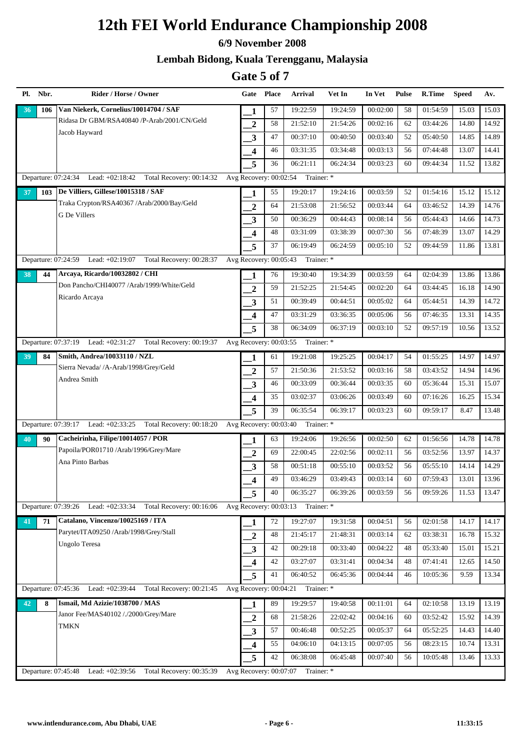#### **6/9 November 2008**

### **Lembah Bidong, Kuala Terengganu, Malaysia**

| Pl. Nbr.            | Rider / Horse / Owner                                           |                         | Gate Place | Arrival                           | Vet In   | In Vet   | <b>Pulse</b> | R.Time   | <b>Speed</b> | Av.   |
|---------------------|-----------------------------------------------------------------|-------------------------|------------|-----------------------------------|----------|----------|--------------|----------|--------------|-------|
| 106<br>36           | Van Niekerk, Cornelius/10014704 / SAF                           | 1                       | 57         | 19:22:59                          | 19:24:59 | 00:02:00 | 58           | 01:54:59 | 15.03        | 15.03 |
|                     | Ridasa Dr GBM/RSA40840 /P-Arab/2001/CN/Geld                     | $\boldsymbol{2}$        | 58         | 21:52:10                          | 21:54:26 | 00:02:16 | 62           | 03:44:26 | 14.80        | 14.92 |
|                     | Jacob Hayward                                                   | $\mathbf{3}$            | 47         | 00:37:10                          | 00:40:50 | 00:03:40 | 52           | 05:40:50 | 14.85        | 14.89 |
|                     |                                                                 | $\overline{\mathbf{4}}$ | 46         | 03:31:35                          | 03:34:48 | 00:03:13 | 56           | 07:44:48 | 13.07        | 14.41 |
|                     |                                                                 | 5                       | 36         | 06:21:11                          | 06:24:34 | 00:03:23 | 60           | 09:44:34 | 11.52        | 13.82 |
|                     | Departure: 07:24:34 Lead: +02:18:42 Total Recovery: 00:14:32    | Avg Recovery: 00:02:54  |            | Trainer: *                        |          |          |              |          |              |       |
| 103<br>37           | De Villiers, Gillese/10015318 / SAF                             | 1                       | 55         | 19:20:17                          | 19:24:16 | 00:03:59 | 52           | 01:54:16 | 15.12        | 15.12 |
|                     | Traka Crypton/RSA40367 /Arab/2000/Bay/Geld                      | $\overline{2}$          | 64         | 21:53:08                          | 21:56:52 | 00:03:44 | 64           | 03:46:52 | 14.39        | 14.76 |
|                     | G De Villers                                                    | 3                       | 50         | 00:36:29                          | 00:44:43 | 00:08:14 | 56           | 05:44:43 | 14.66        | 14.73 |
|                     |                                                                 | $\overline{\mathbf{4}}$ | 48         | 03:31:09                          | 03:38:39 | 00:07:30 | 56           | 07:48:39 | 13.07        | 14.29 |
|                     |                                                                 | 5                       | 37         | 06:19:49                          | 06:24:59 | 00:05:10 | 52           | 09:44:59 | 11.86        | 13.81 |
| Departure: 07:24:59 | Lead: +02:19:07<br>Total Recovery: 00:28:37                     | Avg Recovery: 00:05:43  |            | Trainer: *                        |          |          |              |          |              |       |
| 38<br>44            | Arcaya, Ricardo/10032802 / CHI                                  | 1                       | 76         | 19:30:40                          | 19:34:39 | 00:03:59 | 64           | 02:04:39 | 13.86        | 13.86 |
|                     | Don Pancho/CHI40077 /Arab/1999/White/Geld                       | $\overline{2}$          | 59         | 21:52:25                          | 21:54:45 | 00:02:20 | 64           | 03:44:45 | 16.18        | 14.90 |
|                     | Ricardo Arcaya                                                  | $\mathbf{3}$            | 51         | 00:39:49                          | 00:44:51 | 00:05:02 | 64           | 05:44:51 | 14.39        | 14.72 |
|                     |                                                                 | $\overline{\mathbf{4}}$ | 47         | 03:31:29                          | 03:36:35 | 00:05:06 | 56           | 07:46:35 | 13.31        | 14.35 |
|                     |                                                                 | 5                       | 38         | 06:34:09                          | 06:37:19 | 00:03:10 | 52           | 09:57:19 | 10.56        | 13.52 |
|                     | Departure: 07:37:19 Lead: +02:31:27 Total Recovery: 00:19:37    | Avg Recovery: 00:03:55  |            | Trainer: *                        |          |          |              |          |              |       |
| 84<br>39            | Smith, Andrea/10033110 / NZL                                    | 1                       | 61         | 19:21:08                          | 19:25:25 | 00:04:17 | 54           | 01:55:25 | 14.97        | 14.97 |
|                     | Sierra Nevada/ /A-Arab/1998/Grey/Geld                           | $\boldsymbol{2}$        | 57         | 21:50:36                          | 21:53:52 | 00:03:16 | 58           | 03:43:52 | 14.94        | 14.96 |
|                     | Andrea Smith                                                    | 3                       | 46         | 00:33:09                          | 00:36:44 | 00:03:35 | 60           | 05:36:44 | 15.31        | 15.07 |
|                     |                                                                 | $\overline{\mathbf{4}}$ | 35         | 03:02:37                          | 03:06:26 | 00:03:49 | 60           | 07:16:26 | 16.25        | 15.34 |
|                     |                                                                 | 5                       | 39         | 06:35:54                          | 06:39:17 | 00:03:23 | 60           | 09:59:17 | 8.47         | 13.48 |
|                     | Departure: 07:39:17 Lead: +02:33:25 Total Recovery: 00:18:20    | Avg Recovery: 00:03:40  |            | Trainer: *                        |          |          |              |          |              |       |
| 90<br>40            | Cacheirinha, Filipe/10014057 / POR                              | 1                       | 63         | 19:24:06                          | 19:26:56 | 00:02:50 | 62           | 01:56:56 | 14.78        | 14.78 |
|                     | Papoila/POR01710 /Arab/1996/Grey/Mare                           | $\overline{2}$          | 69         | 22:00:45                          | 22:02:56 | 00:02:11 | 56           | 03:52:56 | 13.97        | 14.37 |
|                     | Ana Pinto Barbas                                                | 3                       | 58         | 00:51:18                          | 00:55:10 | 00:03:52 | 56           | 05:55:10 | 14.14        | 14.29 |
|                     |                                                                 | $\overline{\mathbf{4}}$ | 49         | 03:46:29                          | 03:49:43 | 00:03:14 | 60           | 07:59:43 | 13.01        | 13.96 |
|                     |                                                                 | 5                       | 40         | 06:35:27                          | 06:39:26 | 00:03:59 | 56           | 09:59:26 | 11.53        | 13.47 |
|                     | Departure: 07:39:26 Lead: +02:33:34<br>Total Recovery: 00:16:06 |                         |            | Avg Recovery: 00:03:13 Trainer: * |          |          |              |          |              |       |
| 71<br>41            | Catalano, Vincenzo/10025169 / ITA                               | 1                       | 72         | 19:27:07                          | 19:31:58 | 00:04:51 | 56           | 02:01:58 | 14.17        | 14.17 |
|                     | Parytet/ITA09250 /Arab/1998/Grey/Stall                          | $\boldsymbol{2}$        | 48         | 21:45:17                          | 21:48:31 | 00:03:14 | 62           | 03:38:31 | 16.78        | 15.32 |
|                     | <b>Ungolo Teresa</b>                                            | $\mathbf{3}$            | 42         | 00:29:18                          | 00:33:40 | 00:04:22 | 48           | 05:33:40 | 15.01        | 15.21 |
|                     |                                                                 | $\overline{\mathbf{4}}$ | 42         | 03:27:07                          | 03:31:41 | 00:04:34 | 48           | 07:41:41 | 12.65        | 14.50 |
|                     |                                                                 | 5                       | 41         | 06:40:52                          | 06:45:36 | 00:04:44 | 46           | 10:05:36 | 9.59         | 13.34 |
| Departure: 07:45:36 | Lead: +02:39:44<br>Total Recovery: 00:21:45                     | Avg Recovery: 00:04:21  |            | Trainer: *                        |          |          |              |          |              |       |
| 42<br>8             | Ismail, Md Azizie/1038700 / MAS                                 | 1                       | 89         | 19:29:57                          | 19:40:58 | 00:11:01 | 64           | 02:10:58 | 13.19        | 13.19 |
|                     | Janor Fee/MAS40102 /./2000/Grey/Mare                            | $\overline{2}$          | 68         | 21:58:26                          | 22:02:42 | 00:04:16 | 60           | 03:52:42 | 15.92        | 14.39 |
|                     | <b>TMKN</b>                                                     | $\mathbf{3}$            | 57         | 00:46:48                          | 00:52:25 | 00:05:37 | 64           | 05:52:25 | 14.43        | 14.40 |
|                     |                                                                 | $\overline{\mathbf{4}}$ | 55         | 04:06:10                          | 04:13:15 | 00:07:05 | 56           | 08:23:15 | 10.74        | 13.31 |
|                     |                                                                 | 5                       | 42         | 06:38:08                          | 06:45:48 | 00:07:40 | 56           | 10:05:48 | 13.46        | 13.33 |
| Departure: 07:45:48 | Lead: +02:39:56<br>Total Recovery: 00:35:39                     |                         |            | Avg Recovery: 00:07:07 Trainer: * |          |          |              |          |              |       |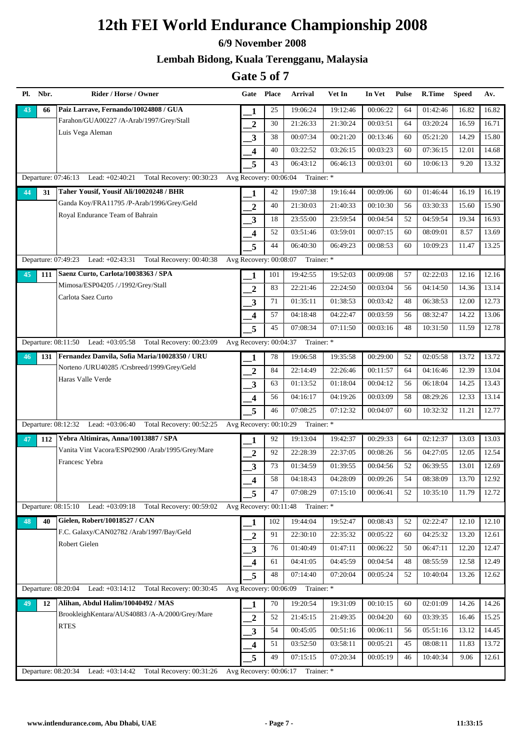#### **6/9 November 2008**

### **Lembah Bidong, Kuala Terengganu, Malaysia**

| Pl. Nbr.              | Rider / Horse / Owner                                           |                         | Gate Place | <b>Arrival</b>                    | Vet In   | In Vet   | <b>Pulse</b> | R.Time   | <b>Speed</b> | Av.   |
|-----------------------|-----------------------------------------------------------------|-------------------------|------------|-----------------------------------|----------|----------|--------------|----------|--------------|-------|
| 66<br>43              | Paiz Larrave, Fernando/10024808 / GUA                           | 1                       | 25         | 19:06:24                          | 19:12:46 | 00:06:22 | 64           | 01:42:46 | 16.82        | 16.82 |
|                       | Farahon/GUA00227 /A-Arab/1997/Grey/Stall                        | $\overline{2}$          | 30         | 21:26:33                          | 21:30:24 | 00:03:51 | 64           | 03:20:24 | 16.59        | 16.71 |
|                       | Luis Vega Aleman                                                | 3                       | 38         | 00:07:34                          | 00:21:20 | 00:13:46 | 60           | 05:21:20 | 14.29        | 15.80 |
|                       |                                                                 | 4                       | 40         | 03:22:52                          | 03:26:15 | 00:03:23 | 60           | 07:36:15 | 12.01        | 14.68 |
|                       |                                                                 | 5                       | 43         | 06:43:12                          | 06:46:13 | 00:03:01 | 60           | 10:06:13 | 9.20         | 13.32 |
| Departure: 07:46:13   | Lead: $+02:40:21$<br>Total Recovery: 00:30:23                   | Avg Recovery: 00:06:04  |            | Trainer: *                        |          |          |              |          |              |       |
| 44<br>31              | Taher Yousif, Yousif Ali/10020248 / BHR                         | 1                       | 42         | 19:07:38                          | 19:16:44 | 00:09:06 | 60           | 01:46:44 | 16.19        | 16.19 |
|                       | Ganda Koy/FRA11795 /P-Arab/1996/Grey/Geld                       | $\overline{2}$          | 40         | 21:30:03                          | 21:40:33 | 00:10:30 | 56           | 03:30:33 | 15.60        | 15.90 |
|                       | Royal Endurance Team of Bahrain                                 | 3                       | 18         | 23:55:00                          | 23:59:54 | 00:04:54 | 52           | 04:59:54 | 19.34        | 16.93 |
|                       |                                                                 | 4                       | 52         | 03:51:46                          | 03:59:01 | 00:07:15 | 60           | 08:09:01 | 8.57         | 13.69 |
|                       |                                                                 | 5                       | 44         | 06:40:30                          | 06:49:23 | 00:08:53 | 60           | 10:09:23 | 11.47        | 13.25 |
|                       | Departure: 07:49:23 Lead: +02:43:31<br>Total Recovery: 00:40:38 | Avg Recovery: 00:08:07  |            | Trainer: *                        |          |          |              |          |              |       |
| 45<br>111             | Saenz Curto, Carlota/10038363 / SPA                             | 1                       | 101        | 19:42:55                          | 19:52:03 | 00:09:08 | 57           | 02:22:03 | 12.16        | 12.16 |
|                       | Mimosa/ESP04205 /./1992/Grey/Stall                              | $\mathbf{2}$            | 83         | 22:21:46                          | 22:24:50 | 00:03:04 | 56           | 04:14:50 | 14.36        | 13.14 |
|                       | Carlota Saez Curto                                              | 3                       | 71         | 01:35:11                          | 01:38:53 | 00:03:42 | 48           | 06:38:53 | 12.00        | 12.73 |
|                       |                                                                 | 4                       | 57         | 04:18:48                          | 04:22:47 | 00:03:59 | 56           | 08:32:47 | 14.22        | 13.06 |
|                       |                                                                 | 5                       | 45         | 07:08:34                          | 07:11:50 | 00:03:16 | 48           | 10:31:50 | 11.59        | 12.78 |
|                       | Departure: 08:11:50 Lead: +03:05:58 Total Recovery: 00:23:09    | Avg Recovery: 00:04:37  |            | Trainer: *                        |          |          |              |          |              |       |
| 131<br>46             | Fernandez Danvila, Sofia Maria/10028350 / URU                   | 1                       | 78         | 19:06:58                          | 19:35:58 | 00:29:00 | 52           | 02:05:58 | 13.72        | 13.72 |
|                       | Norteno /URU40285 /Crsbreed/1999/Grey/Geld                      | $\mathbf{2}$            | 84         | 22:14:49                          | 22:26:46 | 00:11:57 | 64           | 04:16:46 | 12.39        | 13.04 |
|                       | Haras Valle Verde                                               | 3                       | 63         | 01:13:52                          | 01:18:04 | 00:04:12 | 56           | 06:18:04 | 14.25        | 13.43 |
|                       |                                                                 | $\overline{\mathbf{4}}$ | 56         | 04:16:17                          | 04:19:26 | 00:03:09 | 58           | 08:29:26 | 12.33        | 13.14 |
|                       |                                                                 | 5                       | 46         | 07:08:25                          | 07:12:32 | 00:04:07 | 60           | 10:32:32 | 11.21        | 12.77 |
|                       | Departure: 08:12:32 Lead: +03:06:40 Total Recovery: 00:52:25    | Avg Recovery: 00:10:29  |            | Trainer: *                        |          |          |              |          |              |       |
| 112<br>47             | Yebra Altimiras, Anna/10013887 / SPA                            | 1                       | 92         | 19:13:04                          | 19:42:37 | 00:29:33 | 64           | 02:12:37 | 13.03        | 13.03 |
|                       | Vanita Vint Vacora/ESP02900 /Arab/1995/Grey/Mare                | $\overline{2}$          | 92         | 22:28:39                          | 22:37:05 | 00:08:26 | 56           | 04:27:05 | 12.05        | 12.54 |
|                       | Francesc Yebra                                                  | 3                       | 73         | 01:34:59                          | 01:39:55 | 00:04:56 | 52           | 06:39:55 | 13.01        | 12.69 |
|                       |                                                                 | 4                       | 58         | 04:18:43                          | 04:28:09 | 00:09:26 | 54           | 08:38:09 | 13.70        | 12.92 |
|                       |                                                                 | 5                       | 47         | 07:08:29                          | 07:15:10 | 00:06:41 | 52           | 10:35:10 | 11.79        | 12.72 |
| Departure: $08:15:10$ | Lead: +03:09:18<br>Total Recovery: 00:59:02                     |                         |            | Avg Recovery: 00:11:48 Trainer: * |          |          |              |          |              |       |
| 48<br>40              | Gielen, Robert/10018527 / CAN                                   | 1                       | 102        | 19:44:04                          | 19:52:47 | 00:08:43 | 52           | 02:22:47 | 12.10        | 12.10 |
|                       | F.C. Galaxy/CAN02782 /Arab/1997/Bay/Geld                        | 2                       | 91         | 22:30:10                          | 22:35:32 | 00:05:22 | 60           | 04:25:32 | 13.20        | 12.61 |
|                       | Robert Gielen                                                   | 3                       | 76         | 01:40:49                          | 01:47:11 | 00:06:22 | 50           | 06:47:11 | 12.20        | 12.47 |
|                       |                                                                 | 4                       | 61         | 04:41:05                          | 04:45:59 | 00:04:54 | 48           | 08:55:59 | 12.58        | 12.49 |
|                       |                                                                 | 5                       | 48         | $\overline{07:}14:40$             | 07:20:04 | 00:05:24 | 52           | 10:40:04 | 13.26        | 12.62 |
| Departure: 08:20:04   | Lead: $+03:14:12$ Total Recovery: 00:30:45                      | Avg Recovery: 00:06:09  |            | Trainer: *                        |          |          |              |          |              |       |
| 49<br>12              | Alihan, Abdul Halim/10040492 / MAS                              | 1                       | 70         | 19:20:54                          | 19:31:09 | 00:10:15 | 60           | 02:01:09 | 14.26        | 14.26 |
|                       | BrookleighKentara/AUS40883 /A-A/2000/Grey/Mare                  | $\overline{2}$          | 52         | 21:45:15                          | 21:49:35 | 00:04:20 | 60           | 03:39:35 | 16.46        | 15.25 |
|                       | <b>RTES</b>                                                     | 3                       | 54         | 00:45:05                          | 00:51:16 | 00:06:11 | 56           | 05:51:16 | 13.12        | 14.45 |
|                       |                                                                 | $\overline{\mathbf{4}}$ | 51         | 03:52:50                          | 03:58:11 | 00:05:21 | 45           | 08:08:11 | 11.83        | 13.72 |
|                       |                                                                 | 5                       | 49         | 07:15:15                          | 07:20:34 | 00:05:19 | 46           | 10:40:34 | 9.06         | 12.61 |
| Departure: 08:20:34   | Lead: +03:14:42<br>Total Recovery: 00:31:26                     |                         |            | Avg Recovery: 00:06:17 Trainer: * |          |          |              |          |              |       |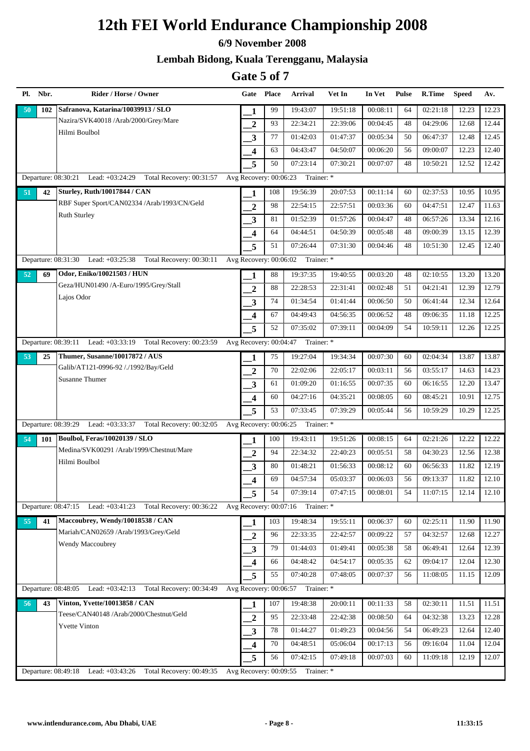#### **6/9 November 2008**

### **Lembah Bidong, Kuala Terengganu, Malaysia**

| Pl. Nbr.            | Rider / Horse / Owner                                           |                         | Gate Place | Arrival                           | Vet In   | In Vet   | <b>Pulse</b> | R.Time   | <b>Speed</b> | Av.                |
|---------------------|-----------------------------------------------------------------|-------------------------|------------|-----------------------------------|----------|----------|--------------|----------|--------------|--------------------|
| 50<br>102           | Safranova, Katarina/10039913 / SLO                              | 1                       | 99         | 19:43:07                          | 19:51:18 | 00:08:11 | 64           | 02:21:18 | 12.23        | 12.23              |
|                     | Nazira/SVK40018 /Arab/2000/Grey/Mare                            | $\boldsymbol{2}$        | 93         | 22:34:21                          | 22:39:06 | 00:04:45 | 48           | 04:29:06 | 12.68        | 12.44              |
|                     | Hilmi Boulbol                                                   | $\mathbf{3}$            | 77         | 01:42:03                          | 01:47:37 | 00:05:34 | 50           | 06:47:37 | 12.48        | 12.45              |
|                     |                                                                 | $\overline{\mathbf{4}}$ | 63         | 04:43:47                          | 04:50:07 | 00:06:20 | 56           | 09:00:07 | 12.23        | 12.40              |
|                     |                                                                 | 5                       | 50         | 07:23:14                          | 07:30:21 | 00:07:07 | 48           | 10:50:21 | 12.52        | 12.42              |
|                     | Departure: 08:30:21 Lead: +03:24:29 Total Recovery: 00:31:57    | Avg Recovery: 00:06:23  |            | Trainer: *                        |          |          |              |          |              |                    |
| 51<br>42            | <b>Sturley, Ruth/10017844 / CAN</b>                             | 1                       | 108        | 19:56:39                          | 20:07:53 | 00:11:14 | 60           | 02:37:53 | 10.95        | 10.95              |
|                     | RBF Super Sport/CAN02334 /Arab/1993/CN/Geld                     | $\overline{2}$          | 98         | 22:54:15                          | 22:57:51 | 00:03:36 | 60           | 04:47:51 | 12.47        | 11.63              |
|                     | <b>Ruth Sturley</b>                                             | 3                       | 81         | 01:52:39                          | 01:57:26 | 00:04:47 | 48           | 06:57:26 | 13.34        | 12.16              |
|                     |                                                                 | $\overline{\mathbf{4}}$ | 64         | 04:44:51                          | 04:50:39 | 00:05:48 | 48           | 09:00:39 | 13.15        | 12.39              |
|                     |                                                                 | 5                       | 51         | 07:26:44                          | 07:31:30 | 00:04:46 | 48           | 10:51:30 | 12.45        | 12.40              |
|                     | Departure: 08:31:30 Lead: +03:25:38 Total Recovery: 00:30:11    | Avg Recovery: 00:06:02  |            | Trainer: *                        |          |          |              |          |              |                    |
| 52<br>69            | Odor, Eniko/10021503 / HUN                                      | 1                       | 88         | 19:37:35                          | 19:40:55 | 00:03:20 | 48           | 02:10:55 | 13.20        | 13.20              |
|                     | Geza/HUN01490 /A-Euro/1995/Grey/Stall                           | $\boldsymbol{2}$        | 88         | 22:28:53                          | 22:31:41 | 00:02:48 | 51           | 04:21:41 | 12.39        | 12.79              |
|                     | Lajos Odor                                                      | $\overline{\mathbf{3}}$ | 74         | 01:34:54                          | 01:41:44 | 00:06:50 | 50           | 06:41:44 | 12.34        | 12.64              |
|                     |                                                                 | $\overline{\mathbf{4}}$ | 67         | 04:49:43                          | 04:56:35 | 00:06:52 | 48           | 09:06:35 | 11.18        | 12.25              |
|                     |                                                                 | 5                       | 52         | 07:35:02                          | 07:39:11 | 00:04:09 | 54           | 10:59:11 | 12.26        | 12.25              |
|                     | Departure: 08:39:11 Lead: +03:33:19 Total Recovery: 00:23:59    | Avg Recovery: 00:04:47  |            | Trainer: *                        |          |          |              |          |              |                    |
| 25<br>53            | Thumer, Susanne/10017872 / AUS                                  | 1                       | 75         | 19:27:04                          | 19:34:34 | 00:07:30 | 60           | 02:04:34 | 13.87        | 13.87              |
|                     | Galib/AT121-0996-92 /./1992/Bay/Geld                            | $\overline{2}$          | 70         | 22:02:06                          | 22:05:17 | 00:03:11 | 56           | 03:55:17 | 14.63        | 14.23              |
|                     | <b>Susanne Thumer</b>                                           | $\mathbf{3}$            | 61         | 01:09:20                          | 01:16:55 | 00:07:35 | 60           | 06:16:55 | 12.20        | 13.47              |
|                     |                                                                 | $\overline{\mathbf{4}}$ | 60         | 04:27:16                          | 04:35:21 | 00:08:05 | 60           | 08:45:21 | 10.91        | 12.75              |
|                     |                                                                 | 5                       | 53         | 07:33:45                          | 07:39:29 | 00:05:44 | 56           | 10:59:29 | 10.29        | 12.25              |
|                     | Departure: 08:39:29 Lead: +03:33:37 Total Recovery: 00:32:05    | Avg Recovery: 00:06:25  |            | Trainer: *                        |          |          |              |          |              |                    |
| 54<br>101           | <b>Boulbol, Feras/10020139 / SLO</b>                            | 1                       | 100        | 19:43:11                          | 19:51:26 | 00:08:15 | 64           | 02:21:26 | 12.22        | 12.22              |
|                     | Medina/SVK00291 /Arab/1999/Chestnut/Mare                        | $\boldsymbol{2}$        | 94         | 22:34:32                          | 22:40:23 | 00:05:51 | 58           | 04:30:23 | 12.56        | 12.38              |
|                     | Hilmi Boulbol                                                   | $\overline{\mathbf{3}}$ | 80         | 01:48:21                          | 01:56:33 | 00:08:12 | 60           | 06:56:33 | 11.82        | 12.19              |
|                     |                                                                 | $\overline{\mathbf{4}}$ | 69         | 04:57:34                          | 05:03:37 | 00:06:03 | 56           | 09:13:37 | 11.82        | 12.10              |
|                     |                                                                 | 5                       | 54         | 07:39:14                          | 07:47:15 | 00:08:01 | 54           | 11:07:15 | 12.14        | 12.10              |
|                     | Departure: 08:47:15 Lead: +03:41:23 Total Recovery: 00:36:22    |                         |            | Avg Recovery: 00:07:16 Trainer: * |          |          |              |          |              |                    |
| 55<br>41            | Maccoubrey, Wendy/10018538 / CAN                                | 1                       | 103        | 19:48:34                          | 19:55:11 | 00:06:37 | 60           | 02:25:11 | 11.90        | 11.90              |
|                     | Mariah/CAN02659 /Arab/1993/Grey/Geld                            | $\boldsymbol{2}$        | 96         | 22:33:35                          | 22:42:57 | 00:09:22 | 57           | 04:32:57 | 12.68        | 12.27              |
|                     | Wendy Maccoubrey                                                | $\mathbf{3}$            | 79         | 01:44:03                          | 01:49:41 | 00:05:38 | 58           | 06:49:41 | 12.64        | $\overline{12.39}$ |
|                     |                                                                 | 4                       | 66         | 04:48:42                          | 04:54:17 | 00:05:35 | 62           | 09:04:17 | 12.04        | 12.30              |
|                     |                                                                 | 5                       | 55         | 07:40:28                          | 07:48:05 | 00:07:37 | 56           | 11:08:05 | 11.15        | 12.09              |
| Departure: 08:48:05 | Lead: +03:42:13 Total Recovery: 00:34:49                        | Avg Recovery: 00:06:57  |            | Trainer: *                        |          |          |              |          |              |                    |
| 56<br>43            | Vinton, Yvette/10013858 / CAN                                   | 1                       | 107        | 19:48:38                          | 20:00:11 | 00:11:33 | 58           | 02:30:11 | 11.51        | 11.51              |
|                     | Teese/CAN40148 /Arab/2000/Chestnut/Geld                         | $\overline{2}$          | 95         | 22:33:48                          | 22:42:38 | 00:08:50 | 64           | 04:32:38 | 13.23        | 12.28              |
|                     | <b>Yvette Vinton</b>                                            | $\mathbf{3}$            | 78         | 01:44:27                          | 01:49:23 | 00:04:56 | 54           | 06:49:23 | 12.64        | 12.40              |
|                     |                                                                 | $\overline{\mathbf{4}}$ | 70         | 04:48:51                          | 05:06:04 | 00:17:13 | 56           | 09:16:04 | 11.04        | 12.04              |
|                     |                                                                 | 5                       | 56         | 07:42:15                          | 07:49:18 | 00:07:03 | 60           | 11:09:18 | 12.19        | 12.07              |
|                     | Total Recovery: 00:49:35<br>Departure: 08:49:18 Lead: +03:43:26 |                         |            | Avg Recovery: 00:09:55 Trainer: * |          |          |              |          |              |                    |